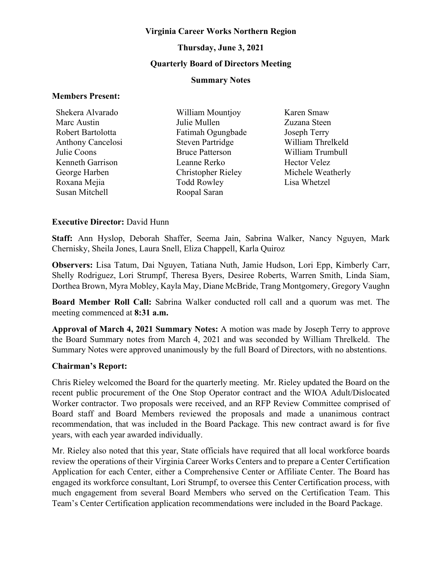#### **Virginia Career Works Northern Region**

# **Thursday, June 3, 2021**

# **Quarterly Board of Directors Meeting**

#### **Summary Notes**

#### **Members Present:**

| Shekera Alvarado         | William Mountjoy          | Karen Smaw          |
|--------------------------|---------------------------|---------------------|
| Marc Austin              | Julie Mullen              | Zuzana Steen        |
| Robert Bartolotta        | Fatimah Ogungbade         | Joseph Terry        |
| <b>Anthony Cancelosi</b> | <b>Steven Partridge</b>   | William Threlkeld   |
| Julie Coons              | <b>Bruce Patterson</b>    | William Trumbull    |
| Kenneth Garrison         | Leanne Rerko              | <b>Hector Velez</b> |
| George Harben            | <b>Christopher Rieley</b> | Michele Weatherly   |
| Roxana Mejia             | <b>Todd Rowley</b>        | Lisa Whetzel        |
| Susan Mitchell           | Roopal Saran              |                     |

#### **Executive Director:** David Hunn

**Staff:** Ann Hyslop, Deborah Shaffer, Seema Jain, Sabrina Walker, Nancy Nguyen, Mark Chernisky, Sheila Jones, Laura Snell, Eliza Chappell, Karla Quiroz

**Observers:** Lisa Tatum, Dai Nguyen, Tatiana Nuth, Jamie Hudson, Lori Epp, Kimberly Carr, Shelly Rodriguez, Lori Strumpf, Theresa Byers, Desiree Roberts, Warren Smith, Linda Siam, Dorthea Brown, Myra Mobley, Kayla May, Diane McBride, Trang Montgomery, Gregory Vaughn

**Board Member Roll Call:** Sabrina Walker conducted roll call and a quorum was met. The meeting commenced at **8:31 a.m.**

**Approval of March 4, 2021 Summary Notes:** A motion was made by Joseph Terry to approve the Board Summary notes from March 4, 2021 and was seconded by William Threlkeld. The Summary Notes were approved unanimously by the full Board of Directors, with no abstentions.

#### **Chairman's Report:**

Chris Rieley welcomed the Board for the quarterly meeting. Mr. Rieley updated the Board on the recent public procurement of the One Stop Operator contract and the WIOA Adult/Dislocated Worker contractor. Two proposals were received, and an RFP Review Committee comprised of Board staff and Board Members reviewed the proposals and made a unanimous contract recommendation, that was included in the Board Package. This new contract award is for five years, with each year awarded individually.

Mr. Rieley also noted that this year, State officials have required that all local workforce boards review the operations of their Virginia Career Works Centers and to prepare a Center Certification Application for each Center, either a Comprehensive Center or Affiliate Center. The Board has engaged its workforce consultant, Lori Strumpf, to oversee this Center Certification process, with much engagement from several Board Members who served on the Certification Team. This Team's Center Certification application recommendations were included in the Board Package.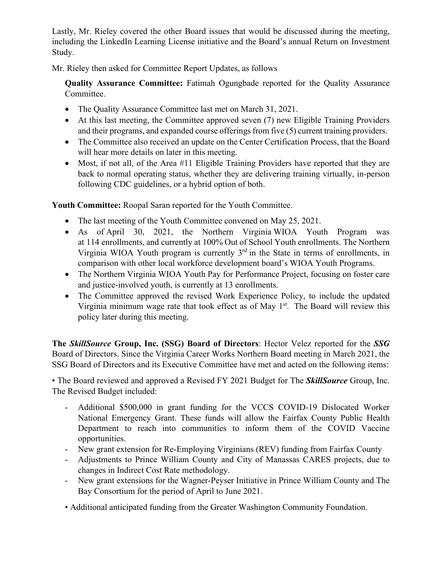Lastly, Mr. Rieley covered the other Board issues that would be discussed during the meeting, including the LinkedIn Learning License initiative and the Board's annual Return on Investment Study.

Mr. Rieley then asked for Committee Report Updates, as follows

**Quality Assurance Committee:** Fatimah Ogungbade reported for the Quality Assurance Committee.

- The Quality Assurance Committee last met on March 31, 2021.
- At this last meeting, the Committee approved seven (7) new Eligible Training Providers and their programs, and expanded course offerings from five (5) current training providers.
- The Committee also received an update on the Center Certification Process, that the Board will hear more details on later in this meeting.
- Most, if not all, of the Area #11 Eligible Training Providers have reported that they are back to normal operating status, whether they are delivering training virtually, in-person following CDC guidelines, or a hybrid option of both.

**Youth Committee:** Roopal Saran reported for the Youth Committee.

- The last meeting of the Youth Committee convened on May 25, 2021.
- As of April 30, 2021, the Northern Virginia WIOA Youth Program was at 114 enrollments, and currently at 100% Out of School Youth enrollments. The Northern Virginia WIOA Youth program is currently  $3<sup>rd</sup>$  in the State in terms of enrollments, in comparison with other local workforce development board's WIOA Youth Programs.
- The Northern Virginia WIOA Youth Pay for Performance Project, focusing on foster care and justice-involved youth, is currently at 13 enrollments.
- The Committee approved the revised Work Experience Policy, to include the updated Virginia minimum wage rate that took effect as of May  $1<sup>st</sup>$ . The Board will review this policy later during this meeting.

**The** *SkillSource* **Group, Inc. (SSG) Board of Directors**: Hector Velez reported for the *SSG*  Board of Directors. Since the Virginia Career Works Northern Board meeting in March 2021, the SSG Board of Directors and its Executive Committee have met and acted on the following items:

• The Board reviewed and approved a Revised FY 2021 Budget for The *SkillSource* Group, Inc. The Revised Budget included:

- Additional \$500,000 in grant funding for the VCCS COVID-19 Dislocated Worker National Emergency Grant. These funds will allow the Fairfax County Public Health Department to reach into communities to inform them of the COVID Vaccine opportunities.
- New grant extension for Re-Employing Virginians (REV) funding from Fairfax County
- Adjustments to Prince William County and City of Manassas CARES projects, due to changes in Indirect Cost Rate methodology.
- New grant extensions for the Wagner-Peyser Initiative in Prince William County and The Bay Consortium for the period of April to June 2021.
- Additional anticipated funding from the Greater Washington Community Foundation.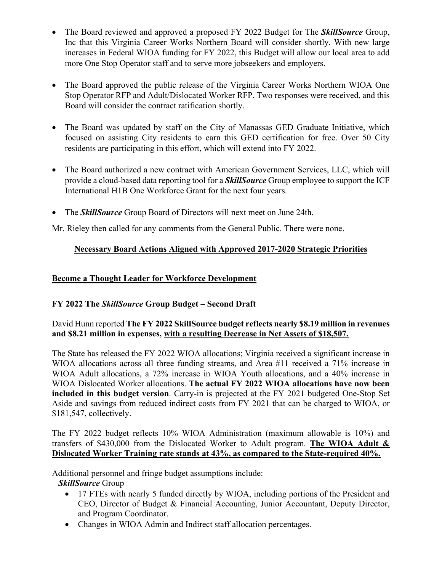- The Board reviewed and approved a proposed FY 2022 Budget for The *SkillSource* Group, Inc that this Virginia Career Works Northern Board will consider shortly. With new large increases in Federal WIOA funding for FY 2022, this Budget will allow our local area to add more One Stop Operator staff and to serve more jobseekers and employers.
- The Board approved the public release of the Virginia Career Works Northern WIOA One Stop Operator RFP and Adult/Dislocated Worker RFP. Two responses were received, and this Board will consider the contract ratification shortly.
- The Board was updated by staff on the City of Manassas GED Graduate Initiative, which focused on assisting City residents to earn this GED certification for free. Over 50 City residents are participating in this effort, which will extend into FY 2022.
- The Board authorized a new contract with American Government Services, LLC, which will provide a cloud-based data reporting tool for a *SkillSource* Group employee to support the ICF International H1B One Workforce Grant for the next four years.
- The *SkillSource* Group Board of Directors will next meet on June 24th.

Mr. Rieley then called for any comments from the General Public. There were none.

# **Necessary Board Actions Aligned with Approved 2017-2020 Strategic Priorities**

# **Become a Thought Leader for Workforce Development**

# **FY 2022 The** *SkillSource* **Group Budget – Second Draft**

# David Hunn reported **The FY 2022 SkillSource budget reflects nearly \$8.19 million in revenues and \$8.21 million in expenses, with a resulting Decrease in Net Assets of \$18,507.**

The State has released the FY 2022 WIOA allocations; Virginia received a significant increase in WIOA allocations across all three funding streams, and Area #11 received a 71% increase in WIOA Adult allocations, a 72% increase in WIOA Youth allocations, and a 40% increase in WIOA Dislocated Worker allocations. **The actual FY 2022 WIOA allocations have now been included in this budget version**. Carry-in is projected at the FY 2021 budgeted One-Stop Set Aside and savings from reduced indirect costs from FY 2021 that can be charged to WIOA, or \$181,547, collectively.

The FY 2022 budget reflects 10% WIOA Administration (maximum allowable is 10%) and transfers of \$430,000 from the Dislocated Worker to Adult program. **The WIOA Adult & Dislocated Worker Training rate stands at 43%, as compared to the State-required 40%.**

Additional personnel and fringe budget assumptions include:

*SkillSource* Group

- 17 FTEs with nearly 5 funded directly by WIOA, including portions of the President and CEO, Director of Budget & Financial Accounting, Junior Accountant, Deputy Director, and Program Coordinator.
- Changes in WIOA Admin and Indirect staff allocation percentages.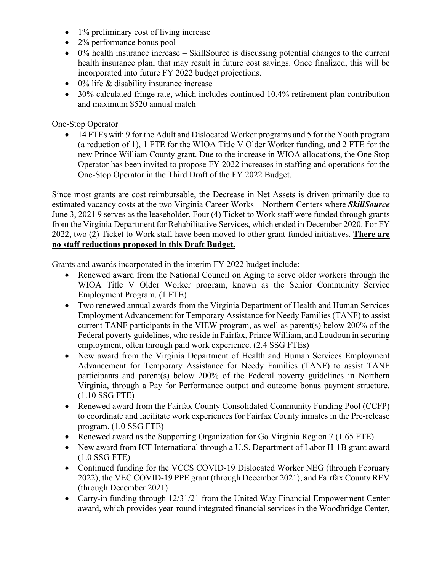- 1% preliminary cost of living increase
- 2% performance bonus pool
- 0% health insurance increase SkillSource is discussing potential changes to the current health insurance plan, that may result in future cost savings. Once finalized, this will be incorporated into future FY 2022 budget projections.
- 0% life & disability insurance increase
- 30% calculated fringe rate, which includes continued 10.4% retirement plan contribution and maximum \$520 annual match

# One-Stop Operator

• 14 FTEs with 9 for the Adult and Dislocated Worker programs and 5 for the Youth program (a reduction of 1), 1 FTE for the WIOA Title V Older Worker funding, and 2 FTE for the new Prince William County grant. Due to the increase in WIOA allocations, the One Stop Operator has been invited to propose FY 2022 increases in staffing and operations for the One-Stop Operator in the Third Draft of the FY 2022 Budget.

Since most grants are cost reimbursable, the Decrease in Net Assets is driven primarily due to estimated vacancy costs at the two Virginia Career Works – Northern Centers where *SkillSource* June 3, 2021 9 serves as the leaseholder. Four (4) Ticket to Work staff were funded through grants from the Virginia Department for Rehabilitative Services, which ended in December 2020. For FY 2022, two (2) Ticket to Work staff have been moved to other grant-funded initiatives. **There are no staff reductions proposed in this Draft Budget.**

Grants and awards incorporated in the interim FY 2022 budget include:

- Renewed award from the National Council on Aging to serve older workers through the WIOA Title V Older Worker program, known as the Senior Community Service Employment Program. (1 FTE)
- Two renewed annual awards from the Virginia Department of Health and Human Services Employment Advancement for Temporary Assistance for Needy Families (TANF) to assist current TANF participants in the VIEW program, as well as parent(s) below 200% of the Federal poverty guidelines, who reside in Fairfax, Prince William, and Loudoun in securing employment, often through paid work experience. (2.4 SSG FTEs)
- New award from the Virginia Department of Health and Human Services Employment Advancement for Temporary Assistance for Needy Families (TANF) to assist TANF participants and parent(s) below 200% of the Federal poverty guidelines in Northern Virginia, through a Pay for Performance output and outcome bonus payment structure. (1.10 SSG FTE)
- Renewed award from the Fairfax County Consolidated Community Funding Pool (CCFP) to coordinate and facilitate work experiences for Fairfax County inmates in the Pre-release program. (1.0 SSG FTE)
- Renewed award as the Supporting Organization for Go Virginia Region 7 (1.65 FTE)
- New award from ICF International through a U.S. Department of Labor H-1B grant award (1.0 SSG FTE)
- Continued funding for the VCCS COVID-19 Dislocated Worker NEG (through February 2022), the VEC COVID-19 PPE grant (through December 2021), and Fairfax County REV (through December 2021)
- Carry-in funding through 12/31/21 from the United Way Financial Empowerment Center award, which provides year-round integrated financial services in the Woodbridge Center,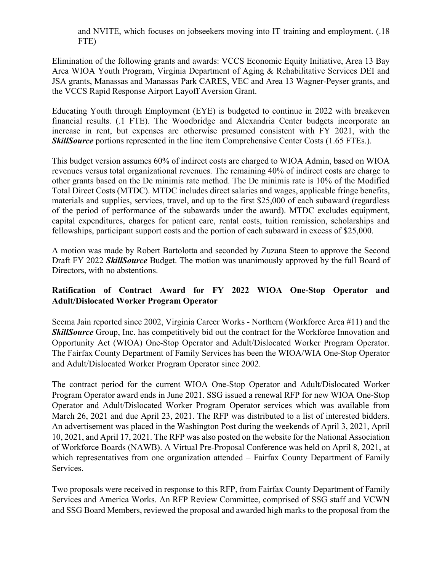and NVITE, which focuses on jobseekers moving into IT training and employment. (.18 FTE)

Elimination of the following grants and awards: VCCS Economic Equity Initiative, Area 13 Bay Area WIOA Youth Program, Virginia Department of Aging & Rehabilitative Services DEI and JSA grants, Manassas and Manassas Park CARES, VEC and Area 13 Wagner-Peyser grants, and the VCCS Rapid Response Airport Layoff Aversion Grant.

Educating Youth through Employment (EYE) is budgeted to continue in 2022 with breakeven financial results. (.1 FTE). The Woodbridge and Alexandria Center budgets incorporate an increase in rent, but expenses are otherwise presumed consistent with FY 2021, with the *SkillSource* portions represented in the line item Comprehensive Center Costs (1.65 FTEs.).

This budget version assumes 60% of indirect costs are charged to WIOA Admin, based on WIOA revenues versus total organizational revenues. The remaining 40% of indirect costs are charge to other grants based on the De minimis rate method. The De minimis rate is 10% of the Modified Total Direct Costs (MTDC). MTDC includes direct salaries and wages, applicable fringe benefits, materials and supplies, services, travel, and up to the first \$25,000 of each subaward (regardless of the period of performance of the subawards under the award). MTDC excludes equipment, capital expenditures, charges for patient care, rental costs, tuition remission, scholarships and fellowships, participant support costs and the portion of each subaward in excess of \$25,000.

A motion was made by Robert Bartolotta and seconded by Zuzana Steen to approve the Second Draft FY 2022 *SkillSource* Budget. The motion was unanimously approved by the full Board of Directors, with no abstentions.

# **Ratification of Contract Award for FY 2022 WIOA One-Stop Operator and Adult/Dislocated Worker Program Operator**

Seema Jain reported since 2002, Virginia Career Works - Northern (Workforce Area #11) and the **SkillSource** Group, Inc. has competitively bid out the contract for the Workforce Innovation and Opportunity Act (WIOA) One-Stop Operator and Adult/Dislocated Worker Program Operator. The Fairfax County Department of Family Services has been the WIOA/WIA One-Stop Operator and Adult/Dislocated Worker Program Operator since 2002.

The contract period for the current WIOA One-Stop Operator and Adult/Dislocated Worker Program Operator award ends in June 2021. SSG issued a renewal RFP for new WIOA One-Stop Operator and Adult/Dislocated Worker Program Operator services which was available from March 26, 2021 and due April 23, 2021. The RFP was distributed to a list of interested bidders. An advertisement was placed in the Washington Post during the weekends of April 3, 2021, April 10, 2021, and April 17, 2021. The RFP was also posted on the website for the National Association of Workforce Boards (NAWB). A Virtual Pre-Proposal Conference was held on April 8, 2021, at which representatives from one organization attended – Fairfax County Department of Family Services.

Two proposals were received in response to this RFP, from Fairfax County Department of Family Services and America Works. An RFP Review Committee, comprised of SSG staff and VCWN and SSG Board Members, reviewed the proposal and awarded high marks to the proposal from the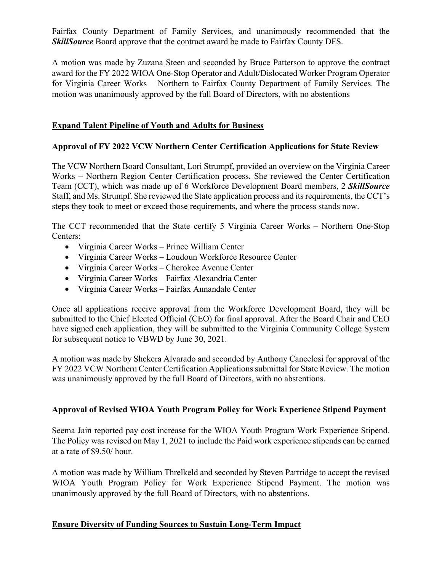Fairfax County Department of Family Services, and unanimously recommended that the *SkillSource* Board approve that the contract award be made to Fairfax County DFS.

A motion was made by Zuzana Steen and seconded by Bruce Patterson to approve the contract award for the FY 2022 WIOA One-Stop Operator and Adult/Dislocated Worker Program Operator for Virginia Career Works – Northern to Fairfax County Department of Family Services. The motion was unanimously approved by the full Board of Directors, with no abstentions

# **Expand Talent Pipeline of Youth and Adults for Business**

#### **Approval of FY 2022 VCW Northern Center Certification Applications for State Review**

The VCW Northern Board Consultant, Lori Strumpf, provided an overview on the Virginia Career Works – Northern Region Center Certification process. She reviewed the Center Certification Team (CCT), which was made up of 6 Workforce Development Board members, 2 *SkillSource* Staff, and Ms. Strumpf. She reviewed the State application process and its requirements, the CCT's steps they took to meet or exceed those requirements, and where the process stands now.

The CCT recommended that the State certify 5 Virginia Career Works – Northern One-Stop Centers:

- Virginia Career Works Prince William Center
- Virginia Career Works Loudoun Workforce Resource Center
- Virginia Career Works Cherokee Avenue Center
- Virginia Career Works Fairfax Alexandria Center
- Virginia Career Works Fairfax Annandale Center

Once all applications receive approval from the Workforce Development Board, they will be submitted to the Chief Elected Official (CEO) for final approval. After the Board Chair and CEO have signed each application, they will be submitted to the Virginia Community College System for subsequent notice to VBWD by June 30, 2021.

A motion was made by Shekera Alvarado and seconded by Anthony Cancelosi for approval of the FY 2022 VCW Northern Center Certification Applications submittal for State Review. The motion was unanimously approved by the full Board of Directors, with no abstentions.

# **Approval of Revised WIOA Youth Program Policy for Work Experience Stipend Payment**

Seema Jain reported pay cost increase for the WIOA Youth Program Work Experience Stipend. The Policy was revised on May 1, 2021 to include the Paid work experience stipends can be earned at a rate of \$9.50/ hour.

A motion was made by William Threlkeld and seconded by Steven Partridge to accept the revised WIOA Youth Program Policy for Work Experience Stipend Payment. The motion was unanimously approved by the full Board of Directors, with no abstentions.

# **Ensure Diversity of Funding Sources to Sustain Long-Term Impact**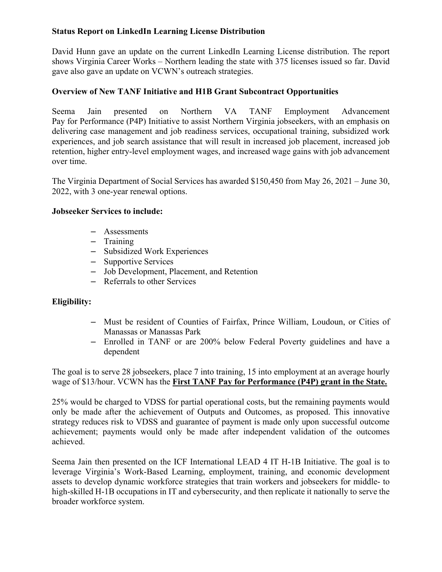# **Status Report on LinkedIn Learning License Distribution**

David Hunn gave an update on the current LinkedIn Learning License distribution. The report shows Virginia Career Works – Northern leading the state with 375 licenses issued so far. David gave also gave an update on VCWN's outreach strategies.

## **Overview of New TANF Initiative and H1B Grant Subcontract Opportunities**

Seema Jain presented on Northern VA TANF Employment Advancement Pay for Performance (P4P) Initiative to assist Northern Virginia jobseekers, with an emphasis on delivering case management and job readiness services, occupational training, subsidized work experiences, and job search assistance that will result in increased job placement, increased job retention, higher entry-level employment wages, and increased wage gains with job advancement over time.

The Virginia Department of Social Services has awarded \$150,450 from May 26, 2021 – June 30, 2022, with 3 one-year renewal options.

#### **Jobseeker Services to include:**

- Assessments
- Training
- Subsidized Work Experiences
- Supportive Services
- Job Development, Placement, and Retention
- Referrals to other Services

#### **Eligibility:**

- Must be resident of Counties of Fairfax, Prince William, Loudoun, or Cities of Manassas or Manassas Park
- Enrolled in TANF or are 200% below Federal Poverty guidelines and have a dependent

The goal is to serve 28 jobseekers, place 7 into training, 15 into employment at an average hourly wage of \$13/hour. VCWN has the **First TANF Pay for Performance (P4P) grant in the State.** 

25% would be charged to VDSS for partial operational costs, but the remaining payments would only be made after the achievement of Outputs and Outcomes, as proposed. This innovative strategy reduces risk to VDSS and guarantee of payment is made only upon successful outcome achievement; payments would only be made after independent validation of the outcomes achieved.

Seema Jain then presented on the ICF International LEAD 4 IT H-1B Initiative. The goal is to leverage Virginia's Work-Based Learning, employment, training, and economic development assets to develop dynamic workforce strategies that train workers and jobseekers for middle- to high-skilled H-1B occupations in IT and cybersecurity, and then replicate it nationally to serve the broader workforce system.